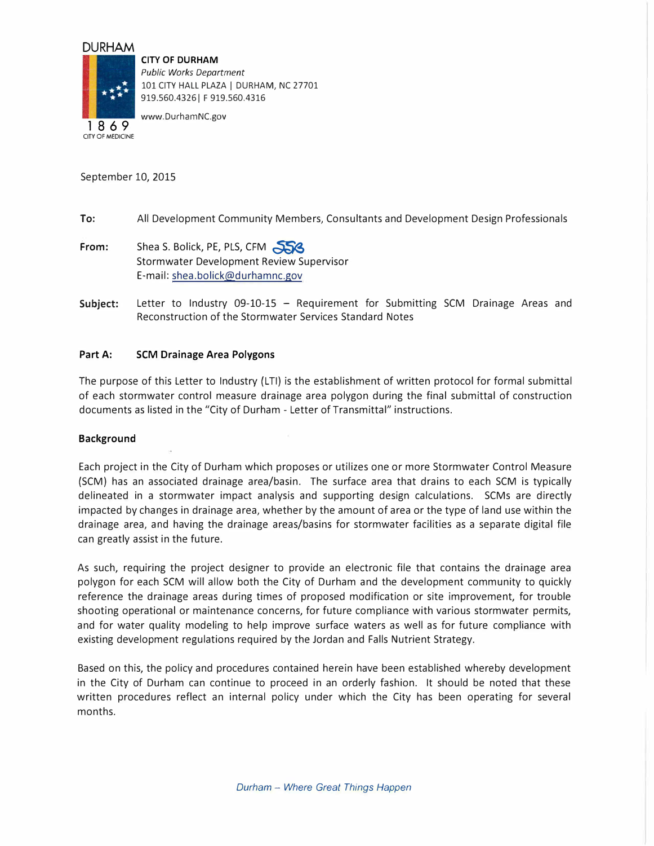# **DURHAM**



CITY OF MEDICINE

**CITY OF DURHAM**  *Public Works Department*  101 CITY HALL PLAZA I DURHAM, NC 27701 919.560.4326 | F 919.560.4316

www.DurhamNC.gov

September 10, 2015

# **To:** All Development Community Members, Consultants and Development Design Professionals

- **From:** Shea S. Bolick, PE, PLS, CFM Stormwater Development Review Supervisor E-mail: shea.bolick@durhamnc.gov
- **Subject:** Letter to Industry 09-10-15 Requirement for Submitting SCM Drainage Areas and Reconstruction of the Storm water Services Standard Notes

## **Part A: SCM Drainage Area Polygons**

The purpose of this Letter to Industry (LTI) is the establishment of written protocol for formal submittal of each stormwater control measure drainage area polygon during the final submittal of construction documents as listed in the "City of Durham - Letter of Transmittal" instructions.

### **Background**

Each project in the City of Durham which proposes or utilizes one or more Stormwater Control Measure (SCM) has an associated drainage area/basin. The surface area that drains to each SCM is typically delineated in a stormwater impact analysis and supporting design calculations. SCMs are directly impacted by changes in drainage area, whether by the amount of area or the type of land use within the drainage area, and having the drainage areas/basins for stormwater facilities as a separate digital file can greatly assist in the future.

As such, requiring the project designer to provide an electronic file that contains the drainage area polygon for each SCM will allow both the City of Durham and the development community to quickly reference the drainage areas during times of proposed modification or site improvement, for trouble shooting operational or maintenance concerns, for future compliance with various stormwater permits, and for water quality modeling to help improve surface waters as well as for future compliance with existing development regulations required by the Jordan and Falls Nutrient Strategy.

Based on this, the policy and procedures contained herein have been established whereby development in the City of Durham can continue to proceed in an orderly fashion. It should be noted that these written procedures reflect an internal policy under which the City has been operating for several months.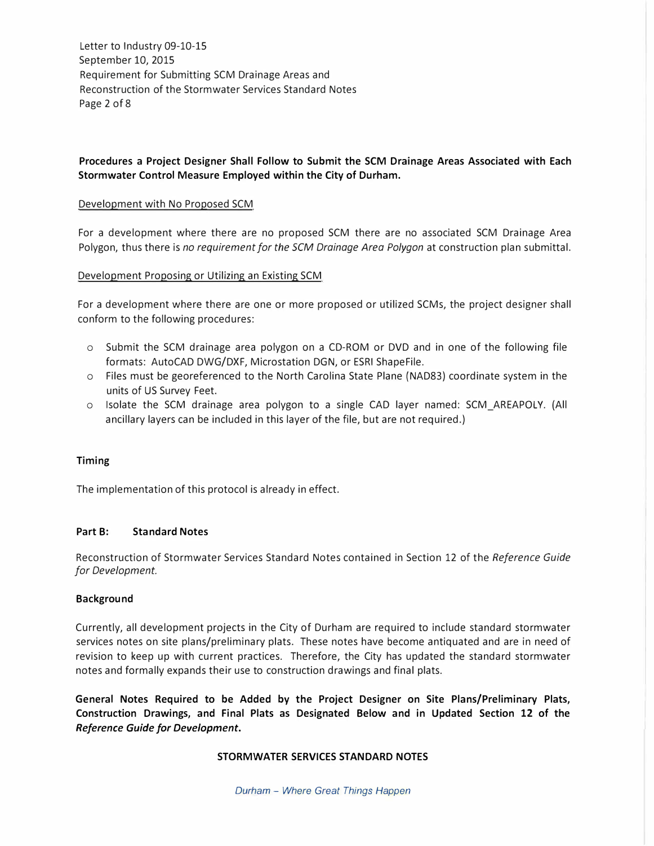Letter to Industry 09-10-15 September 10, 2015 Requirement for Submitting SCM Drainage Areas and Reconstruction of the Storm water Services Standard Notes Page 2 of 8

# **Procedures a Project Designer Shall Follow to Submit the SCM Drainage Areas Associated with Each Stormwater Control Measure Employed within the City of Durham.**

### Development with No Proposed SCM

For a development where there are no proposed SCM there are no associated SCM Drainage Area Polygon, thus there is *no requirement for the SCM Drainage Area Polygon* at construction plan submittal.

## Development Proposing or Utilizing an Existing SCM

For a development where there are one or more proposed or utilized SCMs, the project designer shall conform to the following procedures:

- o Submit the SCM drainage area polygon on a CD-ROM or DVD and in one of the following file formats: AutoCAD DWG/DXF, Microstation DGN, or ESRI ShapeFile.
- o Files must be georeferenced to the North Carolina State Plane (NAD83) coordinate system in the units of US Survey Feet.
- o Isolate the SCM drainage area polygon to a single CAD layer named: SCM\_AREAPOLY. (All ancillary layers can be included in this layer of the file, but are not required.)

### **Timing**

The implementation of this protocol is already in effect.

### **Part B: Standard Notes**

Reconstruction of Stormwater Services Standard Notes contained in Section 12 of the *Reference Guide for Development.* 

### **Background**

Currently, all development projects in the City of Durham are required to include standard stormwater services notes on site plans/preliminary plats. These notes have become antiquated and are in need of revision to keep up with current practices. Therefore, the City has updated the standard stormwater notes and formally expands their use to construction drawings and final plats.

**General Notes Required to be Added by the Project Designer on Site Plans/Preliminary Plats, Construction Drawings, and Final Plats as Designated Below and in Updated Section 12 of the**  *Reference Guide for Development.* 

## **STORMWATER SERVICES STANDARD NOTES**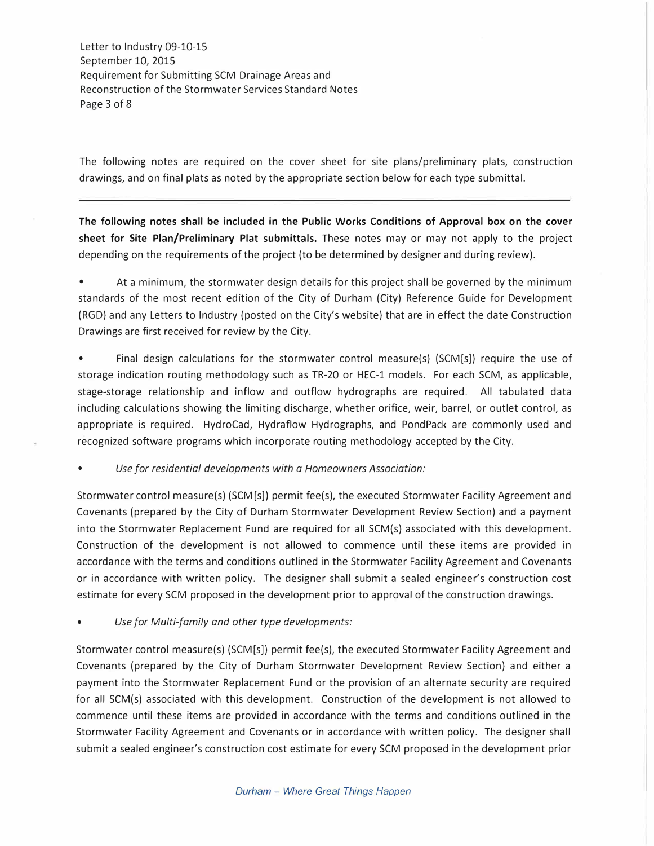Letter to Industry 09-10-15 September 10, 2015 Requirement for Submitting SCM Drainage Areas and Reconstruction of the Storm water Services Standard Notes Page 3 of 8

The following notes are required on the cover sheet for site plans/preliminary plats, construction drawings, and on final plats as noted by the appropriate section below for each type submittal.

**The following notes shall be included in the Public Works Conditions of Approval box on the cover sheet for Site Plan/Preliminary Plat submittals.** These notes may or may not apply to the project depending on the requirements of the project (to be determined by designer and during review).

• At a minimum, the stormwater design details for this project shall be governed by the minimum standards of the most recent edition of the City of Durham (City) Reference Guide for Development (RGD) and any Letters to Industry (posted on the City's website) that are in effect the date Construction Drawings are first received for review by the City.

• Final design calculations for the stormwater control measure(s) (SCM[s]) require the use of storage indication routing methodology such as TR-20 or HEC-1 models. For each SCM, as applicable, stage-storage relationship and inflow and outflow hydrographs are required. All tabulated data including calculations showing the limiting discharge, whether orifice, weir, barrel, or outlet control, as appropriate is required. HydroCad, Hydraflow Hydrographs, and PondPack are commonly used and recognized software programs which incorporate routing methodology accepted by the City.

• *Use for residential developments with a Homeowners Association:*

Stormwater control measure(s) (SCM[s]) permit fee(s), the executed Stormwater Facility Agreement and Covenants (prepared by the City of Durham Stormwater Development Review Section) and a payment into the Stormwater Replacement Fund are required for all SCM(s) associated with this development. Construction of the development is not allowed to commence until these items are provided in accordance with the terms and conditions outlined in the Stormwater Facility Agreement and Covenants or in accordance with written policy. The designer shall submit a sealed engineer's construction cost estimate for every SCM proposed in the development prior to approval of the construction drawings.

• *Use for Multi-family and other type developments:*

Stormwater control measure(s) (SCM[s]) permit fee(s), the executed Stormwater Facility Agreement and Covenants (prepared by the City of Durham Stormwater Development Review Section) and either a payment into the Stormwater Replacement Fund or the provision of an alternate security are required for all SCM(s) associated with this development. Construction of the development is not allowed to commence until these items are provided in accordance with the terms and conditions outlined in the Stormwater Facility Agreement and Covenants or in accordance with written policy. The designer shall submit a sealed engineer's construction cost estimate for every SCM proposed in the development prior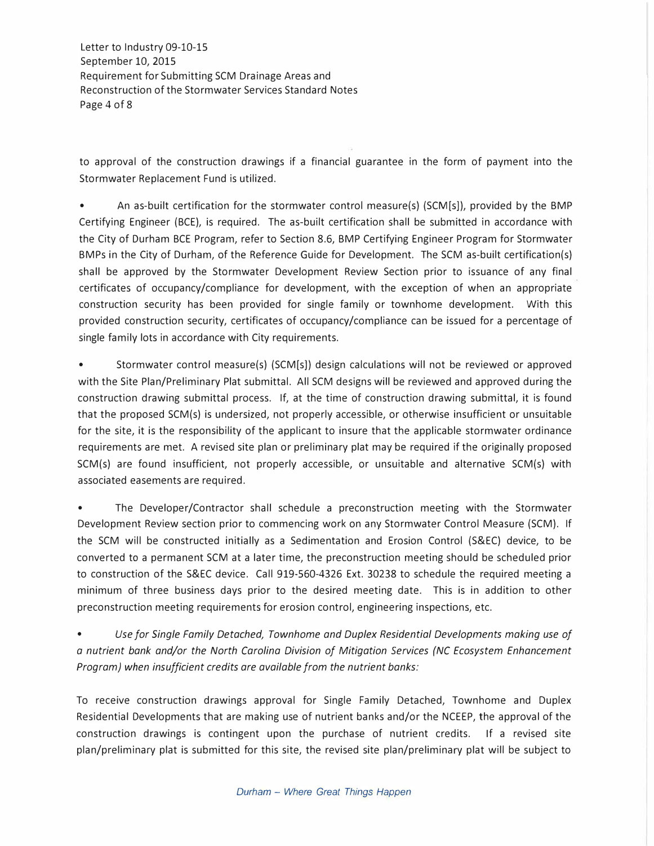Letter to Industry 09-10-15 September 10, 2015 Requirement for Submitting SCM Drainage Areas and Reconstruction of the Storm water Services Standard Notes Page 4 of 8

to approval of the construction drawings if a financial guarantee in the form of payment into the Stormwater Replacement Fund is utilized.

• An as-built certification for the stormwater control measure(s) (SCM[s]), provided by the BMP Certifying Engineer (BCE), is required. The as-built certification shall be submitted in accordance with the City of Durham BCE Program, refer to Section 8.6, BMP Certifying Engineer Program for Stormwater BMPs in the City of Durham, of the Reference Guide for Development. The SCM as-built certification(s) shall be approved by the Stormwater Development Review Section prior to issuance of any final certificates of occupancy/compliance for development, with the exception of when an appropriate construction security has been provided for single family or townhome development. With this provided construction security, certificates of occupancy/compliance can be issued for a percentage of single family lots in accordance with City requirements.

• Stormwater control measure(s) (SCM[s]) design calculations will not be reviewed or approved with the Site Plan/Preliminary Plat submittal. All SCM designs will be reviewed and approved during the construction drawing submittal process. If, at the time of construction drawing submittal, it is found that the proposed SCM(s) is undersized, not properly accessible, or otherwise insufficient or unsuitable for the site, it is the responsibility of the applicant to insure that the applicable stormwater ordinance requirements are met. A revised site plan or preliminary plat may be required if the originally proposed SCM(s) are found insufficient, not properly accessible, or unsuitable and alternative SCM(s) with associated easements are required.

The Developer/Contractor shall schedule a preconstruction meeting with the Stormwater Development Review section prior to commencing work on any Stormwater Control Measure (SCM). If the SCM will be constructed initially as a Sedimentation and Erosion Control (S&EC) device, to be converted to a permanent SCM at a later time, the preconstruction meeting should be scheduled prior to construction of the S&EC device. Call 919-560-4326 Ext. 30238 to schedule the required meeting a minimum of three business days prior to the desired meeting date. This is in addition to other preconstruction meeting requirements for erosion control, engineering inspections, etc.

• *Use for Single Family Detached, Townhome and Duplex Residential Developments making use of a nutrient bank and/or the North Carolina Division of Mitigation Services (NC Ecosystem Enhancement Program) when insufficient credits are available from the nutrient banks:* 

To receive construction drawings approval for Single Family Detached, Townhome and Duplex Residential Developments that are making use of nutrient banks and/or the NCEEP, the approval of the construction drawings is contingent upon the purchase of nutrient credits. If a revised site plan/preliminary plat is submitted for this site, the revised site plan/preliminary plat will be subject to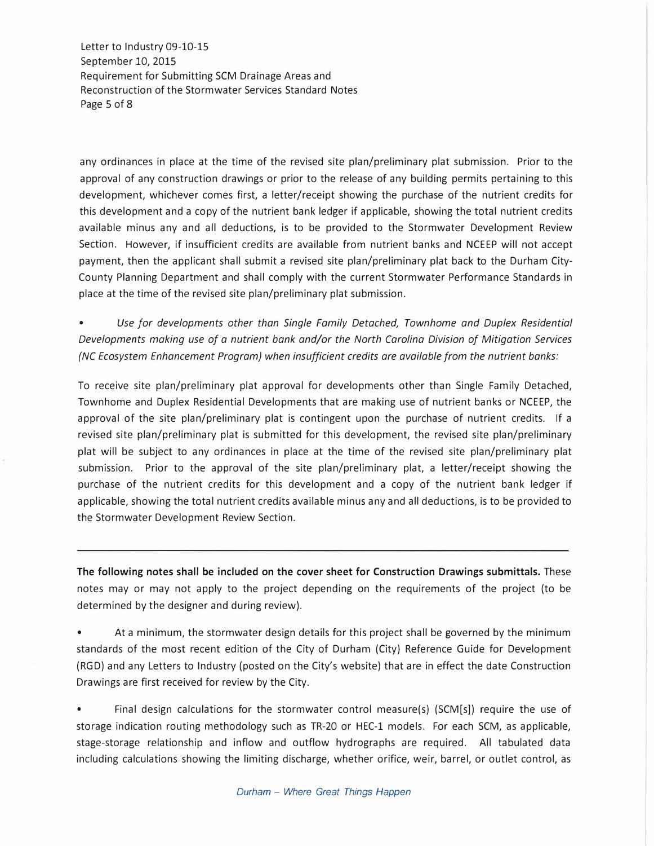Letter to Industry 09-10-15 September 10, 2015 Requirement for Submitting SCM Drainage Areas and Reconstruction of the Storm water Services Standard Notes Page 5 of 8

any ordinances in place at the time of the revised site plan/preliminary plat submission. Prior to the approval of any construction drawings or prior to the release of any building permits pertaining to this development, whichever comes first, a letter/receipt showing the purchase of the nutrient credits for this development and a copy of the nutrient bank ledger if applicable, showing the total nutrient credits available minus any and all deductions, is to be provided to the Stormwater Development Review Section. However, if insufficient credits are available from nutrient banks and NCEEP will not accept payment, then the applicant shall submit a revised site plan/preliminary plat back to the Durham City-County Planning Department and shall comply with the current Stormwater Performance Standards in place at the time of the revised site plan/preliminary plat submission.

• *Use for developments other than Single Family Detached, Townhome and Duplex Residential Developments making use of a nutrient bank and/or the North Carolina Division of Mitigation Services (NC Ecosystem Enhancement Program) when insufficient credits are available from the nutrient banks:* 

To receive site plan/preliminary plat approval for developments other than Single Family Detached, Townhome and Duplex Residential Developments that are making use of nutrient banks or NCEEP, the approval of the site plan/preliminary plat is contingent upon the purchase of nutrient credits. If a revised site plan/preliminary plat is submitted for this development, the revised site plan/preliminary plat will be subject to any ordinances in place at the time of the revised site plan/preliminary plat submission. Prior to the approval of the site plan/preliminary plat, a letter/receipt showing the purchase of the nutrient credits for this development and a copy of the nutrient bank ledger if applicable, showing the total nutrient credits available minus any and all deductions, is to be provided to the Stormwater Development Review Section.

**The following notes shall be included on the cover sheet for Construction Drawings submittals.** These notes may or may not apply to the project depending on the requirements of the project (to be determined by the designer and during review).

- At a minimum, the stormwater design details for this project shall be governed by the minimum standards of the most recent edition of the City of Durham (City) Reference Guide for Development (RGD) and any Letters to Industry (posted on the City's website) that are in effect the date Construction Drawings are first received for review by the City.
- Final design calculations for the stormwater control measure(s) (SCM[s]) require the use of storage indication routing methodology such as TR-20 or HEC-1 models. For each SCM, as applicable, stage-storage relationship and inflow and outflow hydrographs are required. All tabulated data including calculations showing the limiting discharge, whether orifice, weir, barrel, or outlet control, as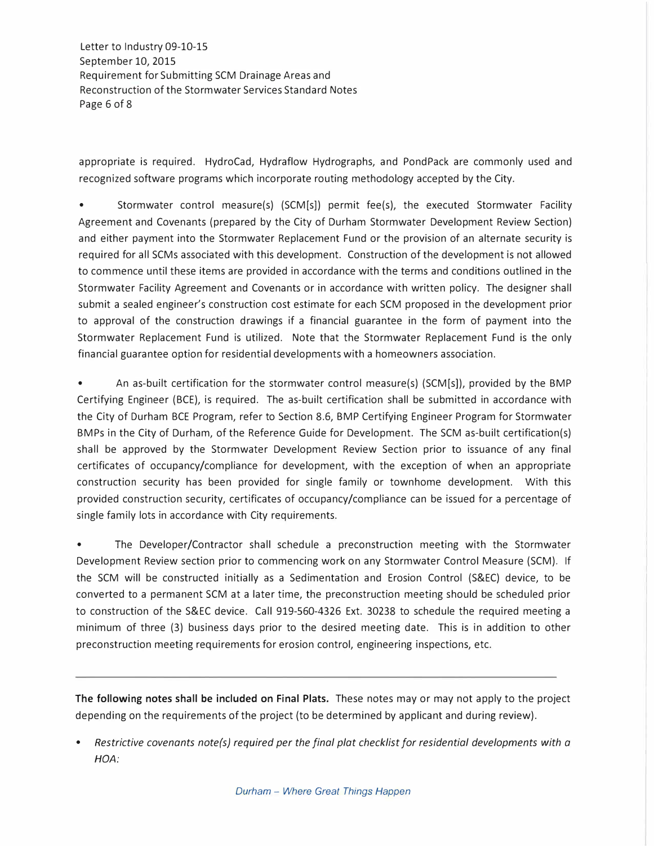Letter to Industry 09-10-15 September 10, 2015 Requirement for Submitting SCM Drainage Areas and Reconstruction of the Storm water Services Standard Notes Page 6 of 8

appropriate is required. HydroCad, Hydraflow Hydrographs, and PondPack are commonly used and recognized software programs which incorporate routing methodology accepted by the City.

Stormwater control measure(s) (SCM[s]) permit fee(s), the executed Stormwater Facility Agreement and Covenants (prepared by the City of Durham Stormwater Development Review Section) and either payment into the Stormwater Replacement Fund or the provision of an alternate security is required for all SCMs associated with this development. Construction of the development is not allowed to commence until these items are provided in accordance with the terms and conditions outlined in the Stormwater Facility Agreement and Covenants or in accordance with written policy. The designer shall submit a sealed engineer's construction cost estimate for each SCM proposed in the development prior to approval of the construction drawings if a financial guarantee in the form of payment into the Stormwater Replacement Fund is utilized. Note that the Stormwater Replacement Fund is the only financial guarantee option for residential developments with a homeowners association.

• An as-built certification for the stormwater control measure(s) (SCM[s]), provided by the BMP Certifying Engineer (BCE), is required. The as-built certification shall be submitted in accordance with the City of Durham BCE Program, refer to Section 8.6, BMP Certifying Engineer Program for Stormwater BMPs in the City of Durham, of the Reference Guide for Development. The SCM as-built certification(s) shall be approved by the Stormwater Development Review Section prior to issuance of any final certificates of occupancy/compliance for development, with the exception of when an appropriate construction security has been provided for single family or townhome development. With this provided construction security, certificates of occupancy/compliance can be issued for a percentage of single family lots in accordance with City requirements.

• The Developer/Contractor shall schedule a preconstruction meeting with the Stormwater Development Review section prior to commencing work on any Stormwater Control Measure (SCM). If the SCM will be constructed initially as a Sedimentation and Erosion Control (S&EC) device, to be converted to a permanent SCM at a later time, the preconstruction meeting should be scheduled prior to construction of the S&EC device. Call 919-560-4326 Ext. 30238 to schedule the required meeting a minimum of three (3) business days prior to the desired meeting date. This is in addition to other preconstruction meeting requirements for erosion control, engineering inspections, etc.

**The following notes shall be included on Final Plats.** These notes may or may not apply to the project depending on the requirements of the project (to be determined by applicant and during review).

<sup>•</sup> *Restrictive covenants note(s) required per the final plat checklist for residential developments with a HOA:*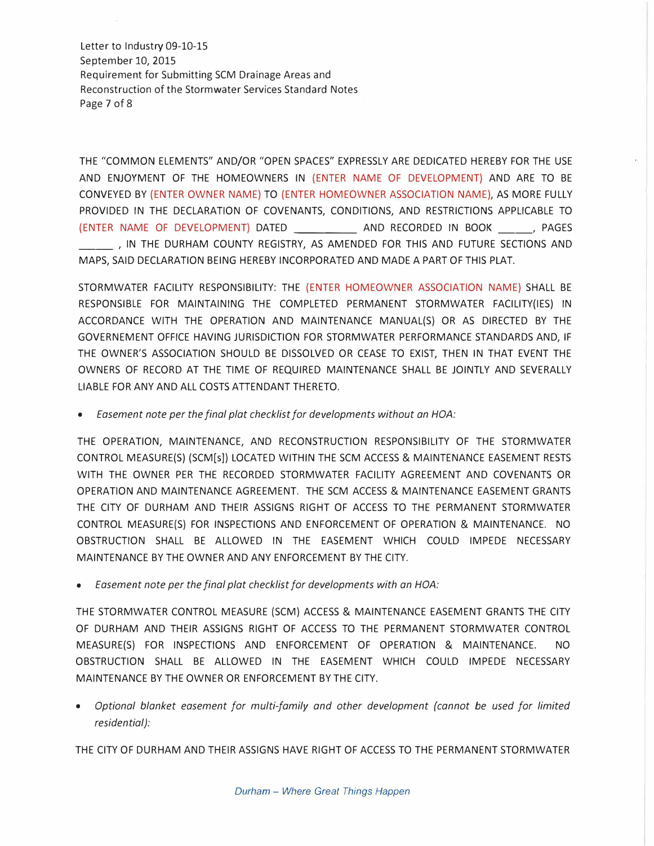Letter to Industry 09-10-15 September 10, 2015 Requirement for Submitting SCM Drainage Areas and Reconstruction of the Storm water Services Standard Notes Page 7 of 8

THE "COMMON ELEMENTS" AND/OR "OPEN SPACES" EXPRESSLY ARE DEDICATED HEREBY FOR THE USE AND ENJOYMENT OF THE HOMEOWNERS IN (ENTER NAME OF DEVELOPMENT) AND ARE TO BE CONVEYED BY (ENTER OWNER NAME) TO (ENTER HOMEOWNER ASSOCIATION NAME), AS MORE FULLY PROVIDED IN THE DECLARATION OF COVENANTS, CONDITIONS, AND RESTRICTIONS APPLICABLE TO (ENTER NAME OF DEVELOPMENT) DATED \_\_\_\_\_\_\_\_\_ AND RECORDED IN BOOK \_\_\_\_\_\_, PAGES \_\_ , IN THE DURHAM COUNTY REGISTRY, AS AMENDED FOR THIS AND FUTURE SECTIONS AND MAPS, SAID DECLARATION BEING HEREBY INCORPORATED AND MADE A PART OF THIS PLAT.

STORMWATER FACILITY RESPONSIBILITY: THE (ENTER HOMEOWNER ASSOCIATION NAME) SHALL BE RESPONSIBLE FOR MAINTAINING THE COMPLETED PERMANENT STORMWATER FACILITY(IES) IN ACCORDANCE WITH THE OPERATION AND MAINTENANCE MANUAL(S) OR AS DIRECTED BY THE GOVERNEMENT OFFICE HAVING JURISDICTION FOR STORMWATER PERFORMANCE STANDARDS AND, IF THE OWNER'S ASSOCIATION SHOULD BE DISSOLVED OR CEASE TO EXIST, THEN IN THAT EVENT THE OWNERS OF RECORD AT THE TIME OF REQUIRED MAINTENANCE SHALL BE JOINTLY AND SEVERALLY LIABLE FOR ANY AND ALL COSTS ATTENDANT THERETO.

• *Easement note per the final plat checklist for developments without an HOA:*

THE OPERATION, MAINTENANCE, AND RECONSTRUCTION RESPONSIBILITY OF THE STORMWATER CONTROL MEASURE(S) (SCM[s]) LOCATED WITHIN THE SCM ACCESS & MAINTENANCE EASEMENT RESTS WITH THE OWNER PER THE RECORDED STORMWATER FACILITY AGREEMENT AND COVENANTS OR OPERATION AND MAINTENANCE AGREEMENT. THE SCM ACCESS & MAINTENANCE EASEMENT GRANTS THE CITY OF DURHAM AND THEIR ASSIGNS RIGHT OF ACCESS TO THE PERMANENT STORMWATER CONTROL MEASURE(S) FOR INSPECTIONS AND ENFORCEMENT OF OPERATION & MAINTENANCE. NO OBSTRUCTION SHALL BE ALLOWED IN THE EASEMENT WHICH COULD IMPEDE NECESSARY MAINTENANCE BY THE OWNER AND ANY ENFORCEMENT BY THE CITY.

• *Easement note per the final plat checklist for developments with an HOA:*

THE STORMWATER CONTROL MEASURE (SCM) ACCESS & MAINTENANCE EASEMENT GRANTS THE CITY OF DURHAM AND THEIR ASSIGNS RIGHT OF ACCESS TO THE PERMANENT STORMWATER CONTROL MEASURE(S) FOR INSPECTIONS AND ENFORCEMENT OF OPERATION & MAINTENANCE. NO OBSTRUCTION SHALL BE ALLOWED IN THE EASEMENT WHICH COULD IMPEDE NECESSARY MAINTENANCE BY THE OWNER OR ENFORCEMENT BY THE CITY.

• *Optional blanket easement for multi-family and other development (cannot be used for limited residential):*

THE CITY OF DURHAM AND THEIR ASSIGNS HAVE RIGHT OF ACCESS TO THE PERMANENT STORMWATER